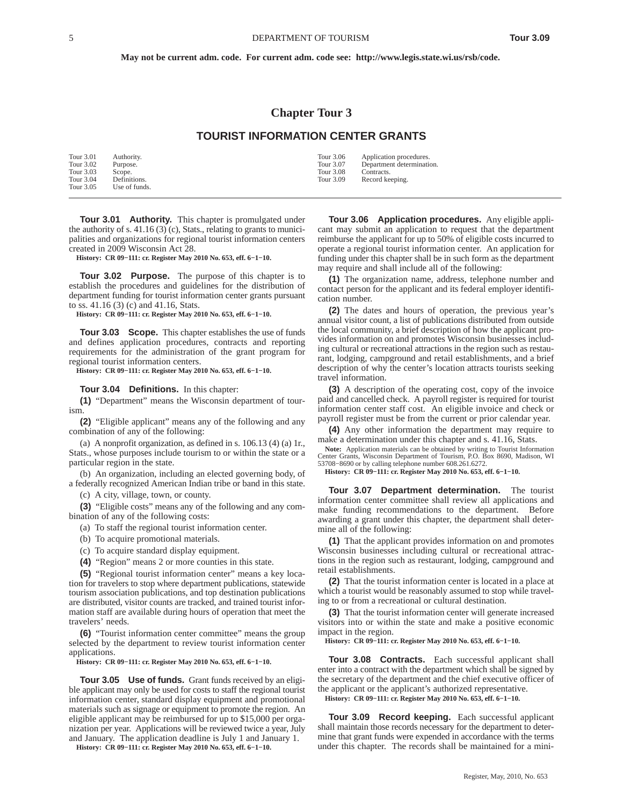**May not be current adm. code. For current adm. code see: http://www.legis.state.wi.us/rsb/code.**

## **Chapter Tour 3**

## **TOURIST INFORMATION CENTER GRANTS**

| Tour 3.01 | Authority.    | Tour 3.06<br>Application procedures.   |  |
|-----------|---------------|----------------------------------------|--|
| Tour 3.02 | Purpose.      | Tour 3.07<br>Department determination. |  |
| Tour 3.03 | Scope.        | <b>Tour 3.08</b><br>Contracts.         |  |
| Tour 3.04 | Definitions.  | Tour 3.09<br>Record keeping.           |  |
| Tour 3.05 | Use of funds. |                                        |  |

**Tour 3.01 Authority.** This chapter is promulgated under the authority of s. 41.16 (3) (c), Stats., relating to grants to municipalities and organizations for regional tourist information centers created in 2009 Wisconsin Act 28.

**History: CR 09−111: cr. Register May 2010 No. 653, eff. 6−1−10.**

**Tour 3.02 Purpose.** The purpose of this chapter is to establish the procedures and guidelines for the distribution of department funding for tourist information center grants pursuant to ss. 41.16 (3) (c) and 41.16, Stats.

**History: CR 09−111: cr. Register May 2010 No. 653, eff. 6−1−10.**

**Tour 3.03 Scope.** This chapter establishes the use of funds and defines application procedures, contracts and reporting requirements for the administration of the grant program for regional tourist information centers.

**History: CR 09−111: cr. Register May 2010 No. 653, eff. 6−1−10.**

## **Tour 3.04 Definitions.** In this chapter:

**(1)** "Department" means the Wisconsin department of tourism.

**(2)** "Eligible applicant" means any of the following and any combination of any of the following:

(a) A nonprofit organization, as defined in s. 106.13 (4) (a) 1r., Stats., whose purposes include tourism to or within the state or a particular region in the state.

(b) An organization, including an elected governing body, of a federally recognized American Indian tribe or band in this state.

(c) A city, village, town, or county.

**(3)** "Eligible costs" means any of the following and any combination of any of the following costs:

- (a) To staff the regional tourist information center.
- (b) To acquire promotional materials.

(c) To acquire standard display equipment.

**(4)** "Region" means 2 or more counties in this state.

**(5)** "Regional tourist information center" means a key location for travelers to stop where department publications, statewide tourism association publications, and top destination publications are distributed, visitor counts are tracked, and trained tourist information staff are available during hours of operation that meet the travelers' needs.

**(6)** "Tourist information center committee" means the group selected by the department to review tourist information center applications.

**History: CR 09−111: cr. Register May 2010 No. 653, eff. 6−1−10.**

**Tour 3.05 Use of funds.** Grant funds received by an eligible applicant may only be used for costs to staff the regional tourist information center, standard display equipment and promotional materials such as signage or equipment to promote the region. An eligible applicant may be reimbursed for up to \$15,000 per organization per year. Applications will be reviewed twice a year, July and January. The application deadline is July 1 and January 1.

**History: CR 09−111: cr. Register May 2010 No. 653, eff. 6−1−10.**

**Tour 3.06 Application procedures.** Any eligible applicant may submit an application to request that the department reimburse the applicant for up to 50% of eligible costs incurred to operate a regional tourist information center. An application for funding under this chapter shall be in such form as the department may require and shall include all of the following:

**(1)** The organization name, address, telephone number and contact person for the applicant and its federal employer identification number.

**(2)** The dates and hours of operation, the previous year's annual visitor count, a list of publications distributed from outside the local community, a brief description of how the applicant provides information on and promotes Wisconsin businesses including cultural or recreational attractions in the region such as restaurant, lodging, campground and retail establishments, and a brief description of why the center's location attracts tourists seeking travel information.

**(3)** A description of the operating cost, copy of the invoice paid and cancelled check. A payroll register is required for tourist information center staff cost. An eligible invoice and check or payroll register must be from the current or prior calendar year.

**(4)** Any other information the department may require to make a determination under this chapter and s. 41.16, Stats.

**Note:** Application materials can be obtained by writing to Tourist Information Center Grants, Wisconsin Department of Tourism, P.O. Box 8690, Madison, WI 53708−8690 or by calling telephone number 608.261.6272.

**History: CR 09−111: cr. Register May 2010 No. 653, eff. 6−1−10.**

**Tour 3.07 Department determination.** The tourist information center committee shall review all applications and make funding recommendations to the department. Before awarding a grant under this chapter, the department shall determine all of the following:

**(1)** That the applicant provides information on and promotes Wisconsin businesses including cultural or recreational attractions in the region such as restaurant, lodging, campground and retail establishments.

**(2)** That the tourist information center is located in a place at which a tourist would be reasonably assumed to stop while traveling to or from a recreational or cultural destination.

**(3)** That the tourist information center will generate increased visitors into or within the state and make a positive economic impact in the region.

**History: CR 09−111: cr. Register May 2010 No. 653, eff. 6−1−10.**

**Tour 3.08 Contracts.** Each successful applicant shall enter into a contract with the department which shall be signed by the secretary of the department and the chief executive officer of the applicant or the applicant's authorized representative. **History: CR 09−111: cr. Register May 2010 No. 653, eff. 6−1−10.**

**Tour 3.09 Record keeping.** Each successful applicant shall maintain those records necessary for the department to determine that grant funds were expended in accordance with the terms under this chapter. The records shall be maintained for a mini-